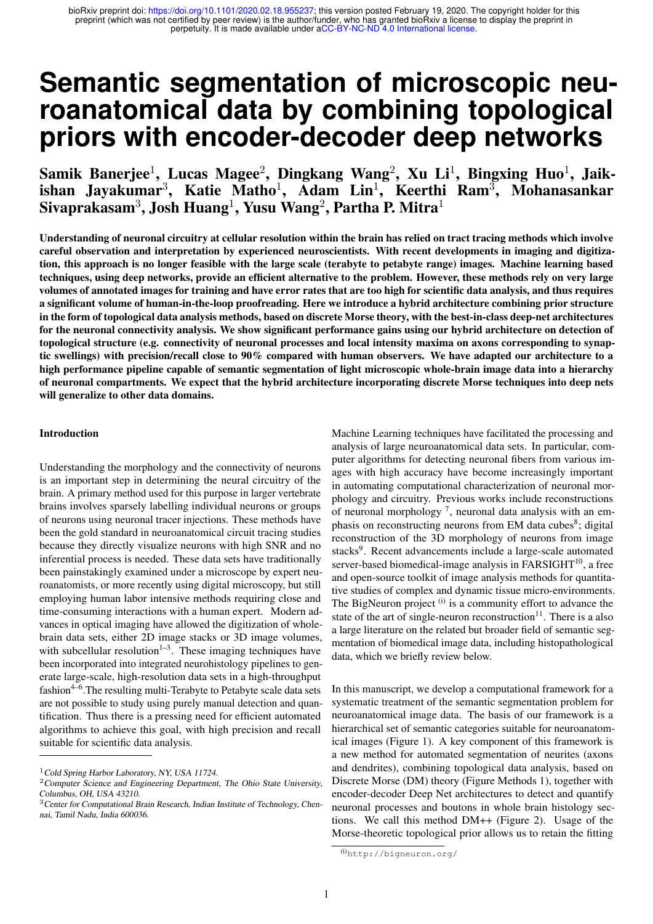# **Semantic segmentation of microscopic neuroanatomical data by combining topological priors with encoder-decoder deep networks**

Samik Banerjee $^1$ , Lucas Magee $^2$ , Dingkang Wang $^2$ , Xu Li $^1$ , Bingxing Huo $^1$ , Jaikishan Jayakumar<sup>3</sup>, Katie Matho<sup>1</sup>, Adam Lin<sup>1</sup>, Keerthi Ram<sup>3</sup>, Mohanasankar Sivaprakasam $^3$ , Josh Huang $^1$ , Yusu Wang $^2$ , Partha P. Mitra $^1$ 

Understanding of neuronal circuitry at cellular resolution within the brain has relied on tract tracing methods which involve careful observation and interpretation by experienced neuroscientists. With recent developments in imaging and digitization, this approach is no longer feasible with the large scale (terabyte to petabyte range) images. Machine learning based techniques, using deep networks, provide an efficient alternative to the problem. However, these methods rely on very large volumes of annotated images for training and have error rates that are too high for scientific data analysis, and thus requires a significant volume of human-in-the-loop proofreading. Here we introduce a hybrid architecture combining prior structure in the form of topological data analysis methods, based on discrete Morse theory, with the best-in-class deep-net architectures for the neuronal connectivity analysis. We show significant performance gains using our hybrid architecture on detection of topological structure (e.g. connectivity of neuronal processes and local intensity maxima on axons corresponding to synaptic swellings) with precision/recall close to 90% compared with human observers. We have adapted our architecture to a high performance pipeline capable of semantic segmentation of light microscopic whole-brain image data into a hierarchy of neuronal compartments. We expect that the hybrid architecture incorporating discrete Morse techniques into deep nets will generalize to other data domains.

#### Introduction

Understanding the morphology and the connectivity of neurons is an important step in determining the neural circuitry of the brain. A primary method used for this purpose in larger vertebrate brains involves sparsely labelling individual neurons or groups of neurons using neuronal tracer injections. These methods have been the gold standard in neuroanatomical circuit tracing studies because they directly visualize neurons with high SNR and no inferential process is needed. These data sets have traditionally been painstakingly examined under a microscope by expert neuroanatomists, or more recently using digital microscopy, but still employing human labor intensive methods requiring close and time-consuming interactions with a human expert. Modern advances in optical imaging have allowed the digitization of wholebrain data sets, either 2D image stacks or 3D image volumes, with subcellular resolution<sup>1-3</sup>. These imaging techniques have been incorporated into integrated neurohistology pipelines to generate large-scale, high-resolution data sets in a high-throughput fashion $4-6$ . The resulting multi-Terabyte to Petabyte scale data sets are not possible to study using purely manual detection and quantification. Thus there is a pressing need for efficient automated algorithms to achieve this goal, with high precision and recall suitable for scientific data analysis.

Machine Learning techniques have facilitated the processing and analysis of large neuroanatomical data sets. In particular, computer algorithms for detecting neuronal fibers from various images with high accuracy have become increasingly important in automating computational characterization of neuronal morphology and circuitry. Previous works include reconstructions of neuronal morphology<sup>7</sup>, neuronal data analysis with an emphasis on reconstructing neurons from EM data cubes<sup>8</sup>; digital reconstruction of the 3D morphology of neurons from image stacks<sup>9</sup>. Recent advancements include a large-scale automated server-based biomedical-image analysis in  $FARSIGHT<sup>10</sup>$ , a free and open-source toolkit of image analysis methods for quantitative studies of complex and dynamic tissue micro-environments. The BigNeuron project  $(i)$  is a community effort to advance the state of the art of single-neuron reconstruction $11$ . There is a also a large literature on the related but broader field of semantic segmentation of biomedical image data, including histopathological data, which we briefly review below.

In this manuscript, we develop a computational framework for a systematic treatment of the semantic segmentation problem for neuroanatomical image data. The basis of our framework is a hierarchical set of semantic categories suitable for neuroanatomical images (Figure 1). A key component of this framework is a new method for automated segmentation of neurites (axons and dendrites), combining topological data analysis, based on Discrete Morse (DM) theory (Figure Methods 1), together with encoder-decoder Deep Net architectures to detect and quantify neuronal processes and boutons in whole brain histology sections. We call this method DM++ (Figure 2). Usage of the Morse-theoretic topological prior allows us to retain the fitting

<sup>&</sup>lt;sup>1</sup> Cold Spring Harbor Laboratory, NY, USA 11724.

<sup>2</sup>Computer Science and Engineering Department, The Ohio State University, Columbus, OH, USA 43210.

<sup>&</sup>lt;sup>3</sup> Center for Computational Brain Research, Indian Institute of Technology, Chennai, Tamil Nadu, India 600036.

<sup>(</sup>i)http://bigneuron.org/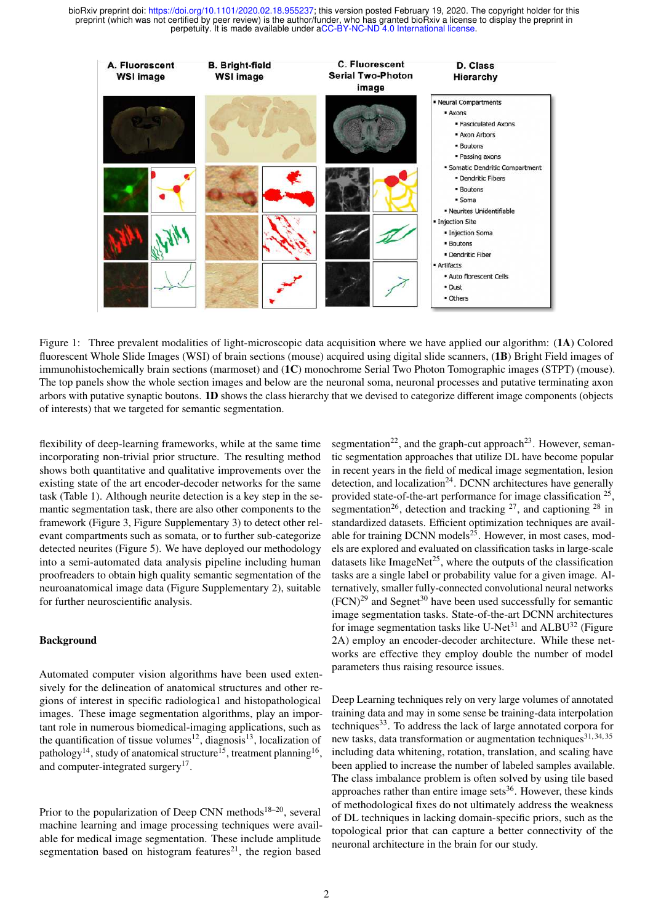

Figure 1: Three prevalent modalities of light-microscopic data acquisition where we have applied our algorithm: (1A) Colored fluorescent Whole Slide Images (WSI) of brain sections (mouse) acquired using digital slide scanners, (1B) Bright Field images of immunohistochemically brain sections (marmoset) and (1C) monochrome Serial Two Photon Tomographic images (STPT) (mouse). The top panels show the whole section images and below are the neuronal soma, neuronal processes and putative terminating axon arbors with putative synaptic boutons. 1D shows the class hierarchy that we devised to categorize different image components (objects of interests) that we targeted for semantic segmentation.

flexibility of deep-learning frameworks, while at the same time incorporating non-trivial prior structure. The resulting method shows both quantitative and qualitative improvements over the existing state of the art encoder-decoder networks for the same task (Table 1). Although neurite detection is a key step in the semantic segmentation task, there are also other components to the framework (Figure 3, Figure Supplementary 3) to detect other relevant compartments such as somata, or to further sub-categorize detected neurites (Figure 5). We have deployed our methodology into a semi-automated data analysis pipeline including human proofreaders to obtain high quality semantic segmentation of the neuroanatomical image data (Figure Supplementary 2), suitable for further neuroscientific analysis.

## **Background**

Automated computer vision algorithms have been used extensively for the delineation of anatomical structures and other regions of interest in specific radiologica1 and histopathological images. These image segmentation algorithms, play an important role in numerous biomedical-imaging applications, such as the quantification of tissue volumes<sup>12</sup>, diagnosis<sup>13</sup>, localization of pathology<sup>14</sup>, study of anatomical structure<sup>15</sup>, treatment planning<sup>16</sup>, and computer-integrated surgery<sup>17</sup>.

Prior to the popularization of Deep CNN methods<sup>18–20</sup>, several machine learning and image processing techniques were available for medical image segmentation. These include amplitude segmentation based on histogram features $21$ , the region based

segmentation<sup>22</sup>, and the graph-cut approach<sup>23</sup>. However, semantic segmentation approaches that utilize DL have become popular in recent years in the field of medical image segmentation, lesion detection, and localization<sup>24</sup>. DCNN architectures have generally provided state-of-the-art performance for image classification <sup>25</sup>, segmentation<sup>26</sup>, detection and tracking  $27$ , and captioning  $28$  in standardized datasets. Efficient optimization techniques are available for training DCNN models $^{25}$ . However, in most cases, models are explored and evaluated on classification tasks in large-scale datasets like ImageNet<sup>25</sup>, where the outputs of the classification tasks are a single label or probability value for a given image. Alternatively, smaller fully-connected convolutional neural networks  $(FCN)^{29}$  and Segnet<sup>30</sup> have been used successfully for semantic image segmentation tasks. State-of-the-art DCNN architectures for image segmentation tasks like U-Net<sup>31</sup> and ALBU<sup>32</sup> (Figure 2A) employ an encoder-decoder architecture. While these networks are effective they employ double the number of model parameters thus raising resource issues.

Deep Learning techniques rely on very large volumes of annotated training data and may in some sense be training-data interpolation techniques<sup>33</sup>. To address the lack of large annotated corpora for new tasks, data transformation or augmentation techniques<sup>31, 34, 35</sup> including data whitening, rotation, translation, and scaling have been applied to increase the number of labeled samples available. The class imbalance problem is often solved by using tile based approaches rather than entire image sets<sup>36</sup>. However, these kinds of methodological fixes do not ultimately address the weakness of DL techniques in lacking domain-specific priors, such as the topological prior that can capture a better connectivity of the neuronal architecture in the brain for our study.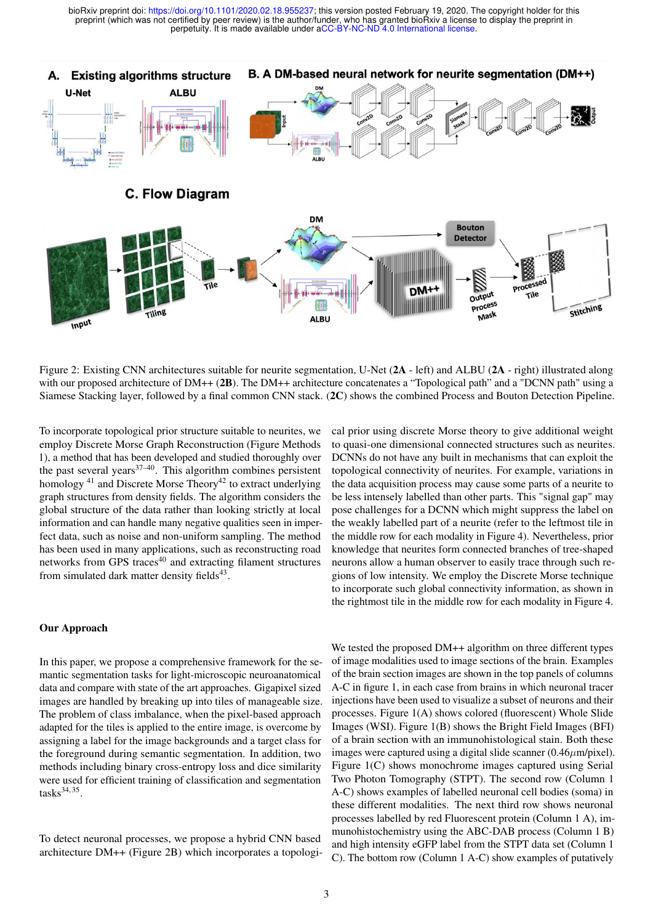

Figure 2: Existing CNN architectures suitable for neurite segmentation, U-Net (2A - left) and ALBU (2A - right) illustrated along with our proposed architecture of DM++ (2B). The DM++ architecture concatenates a "Topological path" and a "DCNN path" using a Siamese Stacking layer, followed by a final common CNN stack. (2C) shows the combined Process and Bouton Detection Pipeline.

To incorporate topological prior structure suitable to neurites, we employ Discrete Morse Graph Reconstruction (Figure Methods 1), a method that has been developed and studied thoroughly over the past several years<sup>37–40</sup>. This algorithm combines persistent homology  $41$  and Discrete Morse Theory $42$  to extract underlying graph structures from density fields. The algorithm considers the global structure of the data rather than looking strictly at local information and can handle many negative qualities seen in imperfect data, such as noise and non-uniform sampling. The method has been used in many applications, such as reconstructing road networks from GPS traces<sup>40</sup> and extracting filament structures from simulated dark matter density fields<sup>43</sup>.

#### Our Approach

In this paper, we propose a comprehensive framework for the semantic segmentation tasks for light-microscopic neuroanatomical data and compare with state of the art approaches. Gigapixel sized images are handled by breaking up into tiles of manageable size. The problem of class imbalance, when the pixel-based approach adapted for the tiles is applied to the entire image, is overcome by assigning a label for the image backgrounds and a target class for the foreground during semantic segmentation. In addition, two methods including binary cross-entropy loss and dice similarity were used for efficient training of classification and segmentation  ${\rm tasks}^{34,35}$ .

To detect neuronal processes, we propose a hybrid CNN based architecture DM++ (Figure 2B) which incorporates a topological prior using discrete Morse theory to give additional weight to quasi-one dimensional connected structures such as neurites. DCNNs do not have any built in mechanisms that can exploit the topological connectivity of neurites. For example, variations in the data acquisition process may cause some parts of a neurite to be less intensely labelled than other parts. This "signal gap" may pose challenges for a DCNN which might suppress the label on the weakly labelled part of a neurite (refer to the leftmost tile in the middle row for each modality in Figure 4). Nevertheless, prior knowledge that neurites form connected branches of tree-shaped neurons allow a human observer to easily trace through such regions of low intensity. We employ the Discrete Morse technique to incorporate such global connectivity information, as shown in the rightmost tile in the middle row for each modality in Figure 4.

We tested the proposed DM++ algorithm on three different types of image modalities used to image sections of the brain. Examples of the brain section images are shown in the top panels of columns A-C in figure 1, in each case from brains in which neuronal tracer injections have been used to visualize a subset of neurons and their processes. Figure 1(A) shows colored (fluorescent) Whole Slide Images (WSI). Figure 1(B) shows the Bright Field Images (BFI) of a brain section with an immunohistological stain. Both these images were captured using a digital slide scanner  $(0.46 \mu m / pixel)$ . Figure 1(C) shows monochrome images captured using Serial Two Photon Tomography (STPT). The second row (Column 1 A-C) shows examples of labelled neuronal cell bodies (soma) in these different modalities. The next third row shows neuronal processes labelled by red Fluorescent protein (Column 1 A), immunohistochemistry using the ABC-DAB process (Column 1 B) and high intensity eGFP label from the STPT data set (Column 1 C). The bottom row (Column 1 A-C) show examples of putatively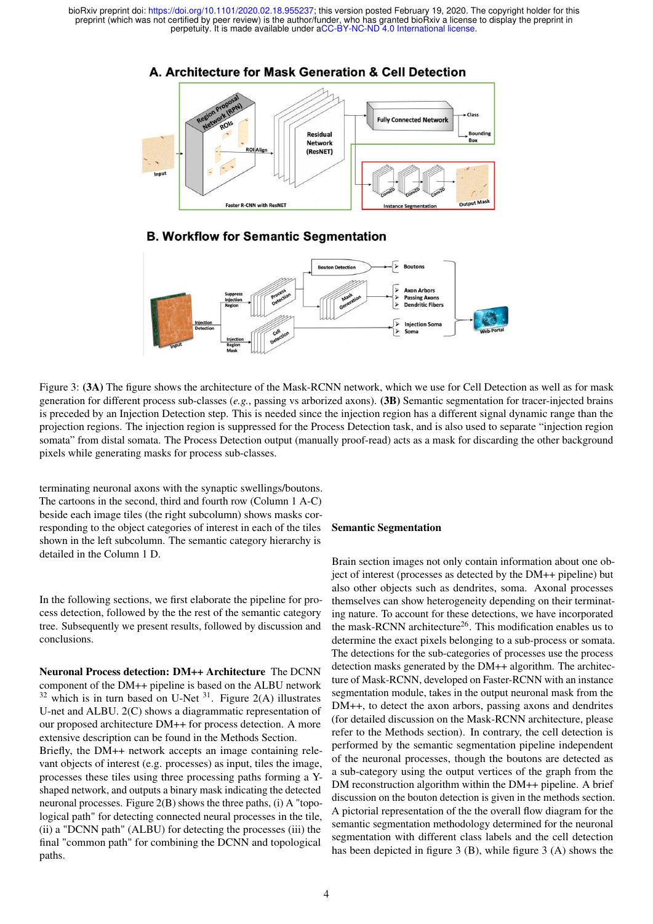

**B. Workflow for Semantic Segmentation** 



Figure 3: (3A) The figure shows the architecture of the Mask-RCNN network, which we use for Cell Detection as well as for mask generation for different process sub-classes (*e.g.*, passing vs arborized axons). (3B) Semantic segmentation for tracer-injected brains is preceded by an Injection Detection step. This is needed since the injection region has a different signal dynamic range than the projection regions. The injection region is suppressed for the Process Detection task, and is also used to separate "injection region somata" from distal somata. The Process Detection output (manually proof-read) acts as a mask for discarding the other background pixels while generating masks for process sub-classes.

terminating neuronal axons with the synaptic swellings/boutons. The cartoons in the second, third and fourth row (Column 1 A-C) beside each image tiles (the right subcolumn) shows masks corresponding to the object categories of interest in each of the tiles shown in the left subcolumn. The semantic category hierarchy is detailed in the Column 1 D.

In the following sections, we first elaborate the pipeline for process detection, followed by the the rest of the semantic category tree. Subsequently we present results, followed by discussion and conclusions.

Neuronal Process detection: DM++ Architecture The DCNN component of the DM++ pipeline is based on the ALBU network  $32$  which is in turn based on U-Net  $31$ . Figure 2(A) illustrates U-net and ALBU. 2(C) shows a diagrammatic representation of our proposed architecture DM++ for process detection. A more extensive description can be found in the Methods Section.

Briefly, the DM++ network accepts an image containing relevant objects of interest (e.g. processes) as input, tiles the image, processes these tiles using three processing paths forming a Yshaped network, and outputs a binary mask indicating the detected neuronal processes. Figure 2(B) shows the three paths, (i) A "topological path" for detecting connected neural processes in the tile, (ii) a "DCNN path" (ALBU) for detecting the processes (iii) the final "common path" for combining the DCNN and topological paths.

#### Semantic Segmentation

Brain section images not only contain information about one object of interest (processes as detected by the DM++ pipeline) but also other objects such as dendrites, soma. Axonal processes themselves can show heterogeneity depending on their terminating nature. To account for these detections, we have incorporated the mask-RCNN architecture<sup>26</sup>. This modification enables us to determine the exact pixels belonging to a sub-process or somata. The detections for the sub-categories of processes use the process detection masks generated by the DM++ algorithm. The architecture of Mask-RCNN, developed on Faster-RCNN with an instance segmentation module, takes in the output neuronal mask from the DM++, to detect the axon arbors, passing axons and dendrites (for detailed discussion on the Mask-RCNN architecture, please refer to the Methods section). In contrary, the cell detection is performed by the semantic segmentation pipeline independent of the neuronal processes, though the boutons are detected as a sub-category using the output vertices of the graph from the DM reconstruction algorithm within the DM++ pipeline. A brief discussion on the bouton detection is given in the methods section. A pictorial representation of the the overall flow diagram for the semantic segmentation methodology determined for the neuronal segmentation with different class labels and the cell detection has been depicted in figure 3 (B), while figure 3 (A) shows the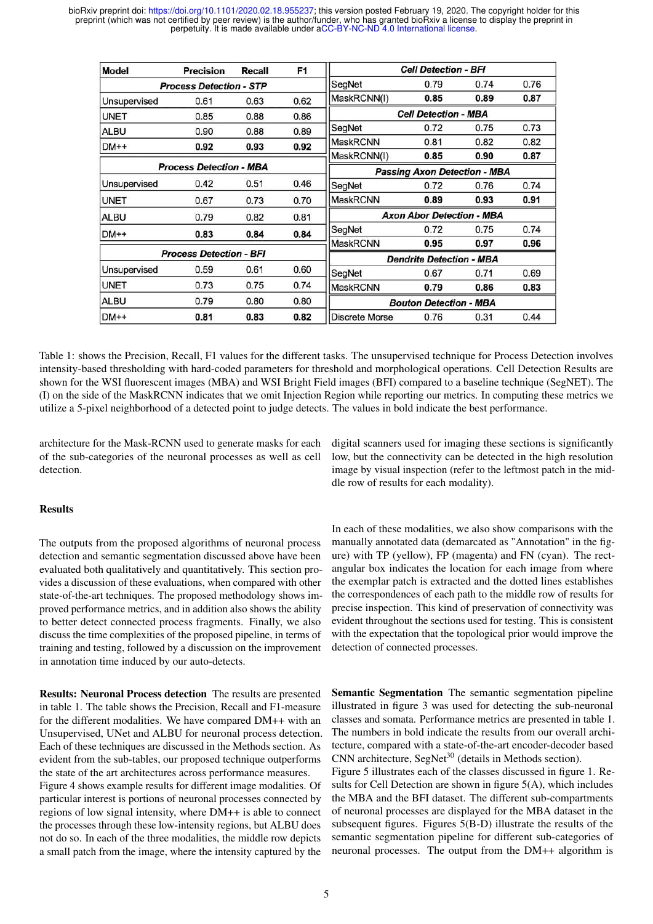| <b>Model</b>                   | Precision                      | Recall | F1                                  | <b>Cell Detection - BFI</b>      |      |      |      |
|--------------------------------|--------------------------------|--------|-------------------------------------|----------------------------------|------|------|------|
|                                | <b>Process Detection - STP</b> |        |                                     | SegNet                           | 0.79 | 0.74 | 0.76 |
| Unsupervised                   | 0.61                           | 0.63   | 0.62                                | MaskRCNN(I)                      | 0.85 | 0.89 | 0.87 |
| <b>UNET</b>                    | 0.85                           | 0.88   | 0.86                                | <b>Cell Detection - MBA</b>      |      |      |      |
| <b>ALBU</b>                    | 0.90                           | 0.88   | 0.89                                | SegNet                           | 0.72 | 0.75 | 0.73 |
| $DM++$                         | 0.92                           | 0.93   | 0.92                                | <b>MaskRCNN</b>                  | 0.81 | 0.82 | 0.82 |
|                                |                                |        |                                     | MaskRCNN(I)                      | 0.85 | 0.90 | 0.87 |
| <b>Process Detection - MBA</b> |                                |        | <b>Passing Axon Detection - MBA</b> |                                  |      |      |      |
| Unsupervised                   | 0.42                           | 0.51   | 0.46                                | SegNet                           | 0.72 | 0.76 | 0.74 |
| <b>UNET</b>                    | 0.67                           | 0.73   | 0.70                                | <b>MaskRCNN</b>                  | 0.89 | 0.93 | 0.91 |
| <b>ALBU</b>                    | 0.79                           | 0.82   | 0.81                                | <b>Axon Abor Detection - MBA</b> |      |      |      |
| $DM++$                         | 0.83                           | 0.84   | 0.84                                | SegNet                           | 0.72 | 0.75 | 0.74 |
|                                |                                |        |                                     | <b>MaskRCNN</b>                  | 0.95 | 0.97 | 0.96 |
| <b>Process Detection - BFI</b> |                                |        |                                     | <b>Dendrite Detection - MBA</b>  |      |      |      |
| Unsupervised                   | 0.59                           | 0.61   | 0.60                                | SegNet                           | 0.67 | 0.71 | 0.69 |
| <b>UNET</b>                    | 0.73                           | 0.75   | 0.74                                | <b>MaskRCNN</b>                  | 0.79 | 0.86 | 0.83 |
| <b>ALBU</b>                    | 0.79                           | 0.80   | 0.80                                | <b>Bouton Detection - MBA</b>    |      |      |      |
| $DM++$                         | 0.81                           | 0.83   | 0.82                                | <b>Discrete Morse</b>            | 0.76 | 0.31 | 0.44 |

Table 1: shows the Precision, Recall, F1 values for the different tasks. The unsupervised technique for Process Detection involves intensity-based thresholding with hard-coded parameters for threshold and morphological operations. Cell Detection Results are shown for the WSI fluorescent images (MBA) and WSI Bright Field images (BFI) compared to a baseline technique (SegNET). The (I) on the side of the MaskRCNN indicates that we omit Injection Region while reporting our metrics. In computing these metrics we utilize a 5-pixel neighborhood of a detected point to judge detects. The values in bold indicate the best performance.

architecture for the Mask-RCNN used to generate masks for each of the sub-categories of the neuronal processes as well as cell detection.

## Results

The outputs from the proposed algorithms of neuronal process detection and semantic segmentation discussed above have been evaluated both qualitatively and quantitatively. This section provides a discussion of these evaluations, when compared with other state-of-the-art techniques. The proposed methodology shows improved performance metrics, and in addition also shows the ability to better detect connected process fragments. Finally, we also discuss the time complexities of the proposed pipeline, in terms of training and testing, followed by a discussion on the improvement in annotation time induced by our auto-detects.

Results: Neuronal Process detection The results are presented in table 1. The table shows the Precision, Recall and F1-measure for the different modalities. We have compared DM++ with an Unsupervised, UNet and ALBU for neuronal process detection. Each of these techniques are discussed in the Methods section. As evident from the sub-tables, our proposed technique outperforms the state of the art architectures across performance measures.

Figure 4 shows example results for different image modalities. Of particular interest is portions of neuronal processes connected by regions of low signal intensity, where DM++ is able to connect the processes through these low-intensity regions, but ALBU does not do so. In each of the three modalities, the middle row depicts a small patch from the image, where the intensity captured by the digital scanners used for imaging these sections is significantly low, but the connectivity can be detected in the high resolution image by visual inspection (refer to the leftmost patch in the middle row of results for each modality).

In each of these modalities, we also show comparisons with the manually annotated data (demarcated as "Annotation" in the figure) with TP (yellow), FP (magenta) and FN (cyan). The rectangular box indicates the location for each image from where the exemplar patch is extracted and the dotted lines establishes the correspondences of each path to the middle row of results for precise inspection. This kind of preservation of connectivity was evident throughout the sections used for testing. This is consistent with the expectation that the topological prior would improve the detection of connected processes.

Semantic Segmentation The semantic segmentation pipeline illustrated in figure 3 was used for detecting the sub-neuronal classes and somata. Performance metrics are presented in table 1. The numbers in bold indicate the results from our overall architecture, compared with a state-of-the-art encoder-decoder based CNN architecture, SegNet<sup>30</sup> (details in Methods section).

Figure 5 illustrates each of the classes discussed in figure 1. Results for Cell Detection are shown in figure 5(A), which includes the MBA and the BFI dataset. The different sub-compartments of neuronal processes are displayed for the MBA dataset in the subsequent figures. Figures 5(B-D) illustrate the results of the semantic segmentation pipeline for different sub-categories of neuronal processes. The output from the DM++ algorithm is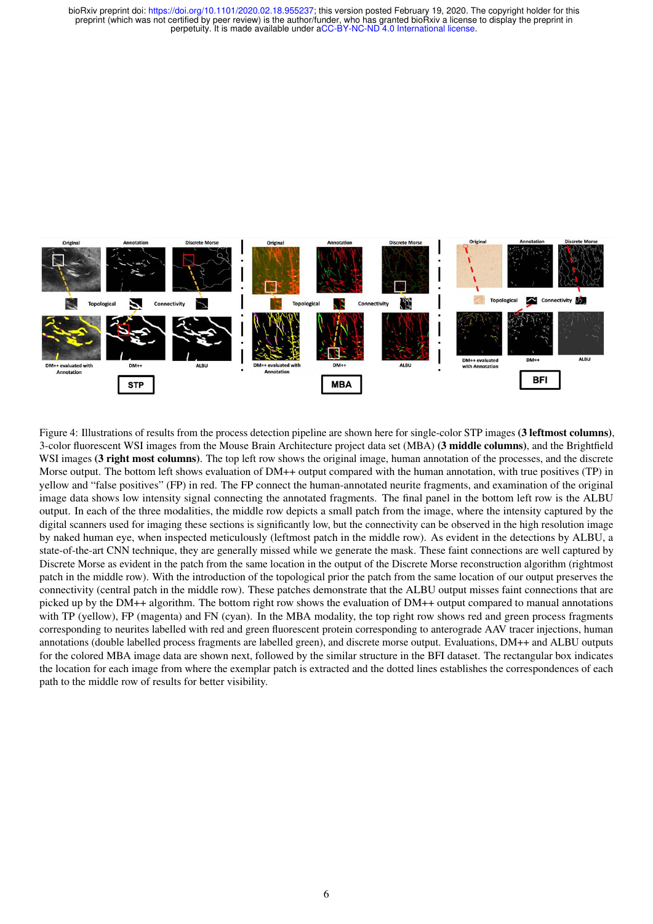

Figure 4: Illustrations of results from the process detection pipeline are shown here for single-color STP images (3 leftmost columns), 3-color fluorescent WSI images from the Mouse Brain Architecture project data set (MBA) (3 middle columns), and the Brightfield WSI images (3 right most columns). The top left row shows the original image, human annotation of the processes, and the discrete Morse output. The bottom left shows evaluation of DM++ output compared with the human annotation, with true positives (TP) in yellow and "false positives" (FP) in red. The FP connect the human-annotated neurite fragments, and examination of the original image data shows low intensity signal connecting the annotated fragments. The final panel in the bottom left row is the ALBU output. In each of the three modalities, the middle row depicts a small patch from the image, where the intensity captured by the digital scanners used for imaging these sections is significantly low, but the connectivity can be observed in the high resolution image by naked human eye, when inspected meticulously (leftmost patch in the middle row). As evident in the detections by ALBU, a state-of-the-art CNN technique, they are generally missed while we generate the mask. These faint connections are well captured by Discrete Morse as evident in the patch from the same location in the output of the Discrete Morse reconstruction algorithm (rightmost patch in the middle row). With the introduction of the topological prior the patch from the same location of our output preserves the connectivity (central patch in the middle row). These patches demonstrate that the ALBU output misses faint connections that are picked up by the DM++ algorithm. The bottom right row shows the evaluation of DM++ output compared to manual annotations with TP (yellow), FP (magenta) and FN (cyan). In the MBA modality, the top right row shows red and green process fragments corresponding to neurites labelled with red and green fluorescent protein corresponding to anterograde AAV tracer injections, human annotations (double labelled process fragments are labelled green), and discrete morse output. Evaluations, DM++ and ALBU outputs for the colored MBA image data are shown next, followed by the similar structure in the BFI dataset. The rectangular box indicates the location for each image from where the exemplar patch is extracted and the dotted lines establishes the correspondences of each path to the middle row of results for better visibility.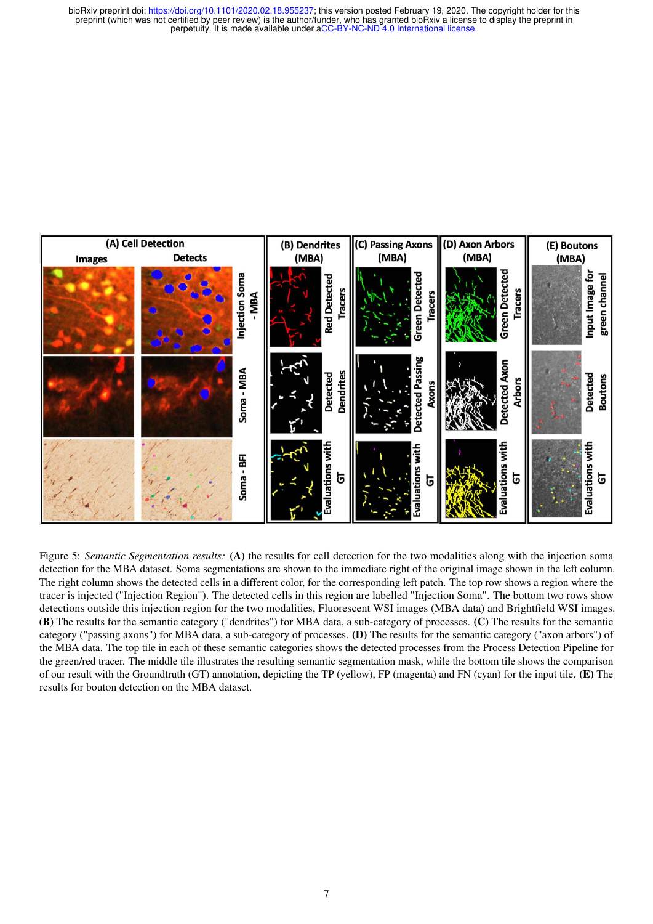

Figure 5: *Semantic Segmentation results:* (A) the results for cell detection for the two modalities along with the injection soma detection for the MBA dataset. Soma segmentations are shown to the immediate right of the original image shown in the left column. The right column shows the detected cells in a different color, for the corresponding left patch. The top row shows a region where the tracer is injected ("Injection Region"). The detected cells in this region are labelled "Injection Soma". The bottom two rows show detections outside this injection region for the two modalities, Fluorescent WSI images (MBA data) and Brightfield WSI images. (B) The results for the semantic category ("dendrites") for MBA data, a sub-category of processes. (C) The results for the semantic category ("passing axons") for MBA data, a sub-category of processes. (D) The results for the semantic category ("axon arbors") of the MBA data. The top tile in each of these semantic categories shows the detected processes from the Process Detection Pipeline for the green/red tracer. The middle tile illustrates the resulting semantic segmentation mask, while the bottom tile shows the comparison of our result with the Groundtruth (GT) annotation, depicting the TP (yellow), FP (magenta) and FN (cyan) for the input tile. (E) The results for bouton detection on the MBA dataset.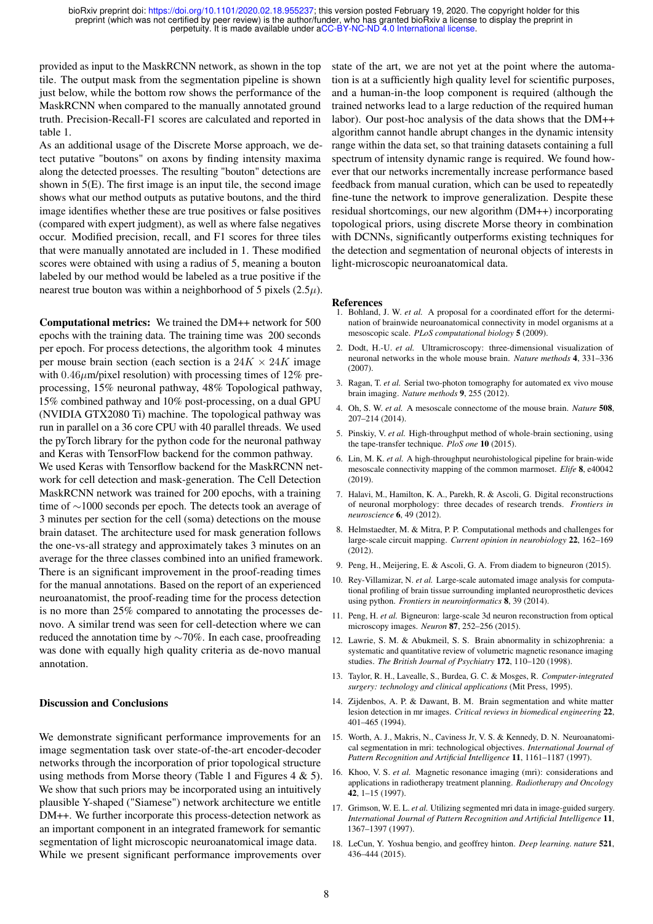provided as input to the MaskRCNN network, as shown in the top tile. The output mask from the segmentation pipeline is shown just below, while the bottom row shows the performance of the MaskRCNN when compared to the manually annotated ground truth. Precision-Recall-F1 scores are calculated and reported in table 1.

As an additional usage of the Discrete Morse approach, we detect putative "boutons" on axons by finding intensity maxima along the detected proesses. The resulting "bouton" detections are shown in 5(E). The first image is an input tile, the second image shows what our method outputs as putative boutons, and the third image identifies whether these are true positives or false positives (compared with expert judgment), as well as where false negatives occur. Modified precision, recall, and F1 scores for three tiles that were manually annotated are included in 1. These modified scores were obtained with using a radius of 5, meaning a bouton labeled by our method would be labeled as a true positive if the nearest true bouton was within a neighborhood of 5 pixels  $(2.5\mu)$ .

Computational metrics: We trained the DM++ network for 500 epochs with the training data. The training time was 200 seconds per epoch. For process detections, the algorithm took 4 minutes per mouse brain section (each section is a  $24K \times 24K$  image with  $0.46\mu$ m/pixel resolution) with processing times of 12% preprocessing, 15% neuronal pathway, 48% Topological pathway, 15% combined pathway and 10% post-processing, on a dual GPU (NVIDIA GTX2080 Ti) machine. The topological pathway was run in parallel on a 36 core CPU with 40 parallel threads. We used the pyTorch library for the python code for the neuronal pathway and Keras with TensorFlow backend for the common pathway. We used Keras with Tensorflow backend for the MaskRCNN network for cell detection and mask-generation. The Cell Detection MaskRCNN network was trained for 200 epochs, with a training time of ∼1000 seconds per epoch. The detects took an average of 3 minutes per section for the cell (soma) detections on the mouse brain dataset. The architecture used for mask generation follows the one-vs-all strategy and approximately takes 3 minutes on an average for the three classes combined into an unified framework. There is an significant improvement in the proof-reading times for the manual annotations. Based on the report of an experienced neuroanatomist, the proof-reading time for the process detection is no more than 25% compared to annotating the processes denovo. A similar trend was seen for cell-detection where we can reduced the annotation time by ∼70%. In each case, proofreading was done with equally high quality criteria as de-novo manual annotation.

### Discussion and Conclusions

We demonstrate significant performance improvements for an image segmentation task over state-of-the-art encoder-decoder networks through the incorporation of prior topological structure using methods from Morse theory (Table 1 and Figures  $4 \& 5$ ). We show that such priors may be incorporated using an intuitively plausible Y-shaped ("Siamese") network architecture we entitle DM++. We further incorporate this process-detection network as an important component in an integrated framework for semantic segmentation of light microscopic neuroanatomical image data. While we present significant performance improvements over state of the art, we are not yet at the point where the automation is at a sufficiently high quality level for scientific purposes, and a human-in-the loop component is required (although the trained networks lead to a large reduction of the required human labor). Our post-hoc analysis of the data shows that the DM++ algorithm cannot handle abrupt changes in the dynamic intensity range within the data set, so that training datasets containing a full spectrum of intensity dynamic range is required. We found however that our networks incrementally increase performance based feedback from manual curation, which can be used to repeatedly fine-tune the network to improve generalization. Despite these residual shortcomings, our new algorithm (DM++) incorporating topological priors, using discrete Morse theory in combination with DCNNs, significantly outperforms existing techniques for the detection and segmentation of neuronal objects of interests in light-microscopic neuroanatomical data.

#### References

- 1. Bohland, J. W. *et al.* A proposal for a coordinated effort for the determination of brainwide neuroanatomical connectivity in model organisms at a mesoscopic scale. *PLoS computational biology* 5 (2009).
- 2. Dodt, H.-U. *et al.* Ultramicroscopy: three-dimensional visualization of neuronal networks in the whole mouse brain. *Nature methods* 4, 331–336 (2007).
- 3. Ragan, T. *et al.* Serial two-photon tomography for automated ex vivo mouse brain imaging. *Nature methods* 9, 255 (2012).
- 4. Oh, S. W. *et al.* A mesoscale connectome of the mouse brain. *Nature* 508, 207–214 (2014).
- 5. Pinskiy, V. *et al.* High-throughput method of whole-brain sectioning, using the tape-transfer technique. *PloS one* 10 (2015).
- 6. Lin, M. K. *et al.* A high-throughput neurohistological pipeline for brain-wide mesoscale connectivity mapping of the common marmoset. *Elife* 8, e40042  $(2019)$
- 7. Halavi, M., Hamilton, K. A., Parekh, R. & Ascoli, G. Digital reconstructions of neuronal morphology: three decades of research trends. *Frontiers in neuroscience* 6, 49 (2012).
- 8. Helmstaedter, M. & Mitra, P. P. Computational methods and challenges for large-scale circuit mapping. *Current opinion in neurobiology* 22, 162–169 (2012).
- 9. Peng, H., Meijering, E. & Ascoli, G. A. From diadem to bigneuron (2015).
- 10. Rey-Villamizar, N. *et al.* Large-scale automated image analysis for computational profiling of brain tissue surrounding implanted neuroprosthetic devices using python. *Frontiers in neuroinformatics* 8, 39 (2014).
- 11. Peng, H. *et al.* Bigneuron: large-scale 3d neuron reconstruction from optical microscopy images. *Neuron* 87, 252–256 (2015).
- 12. Lawrie, S. M. & Abukmeil, S. S. Brain abnormality in schizophrenia: a systematic and quantitative review of volumetric magnetic resonance imaging studies. *The British Journal of Psychiatry* 172, 110–120 (1998).
- 13. Taylor, R. H., Lavealle, S., Burdea, G. C. & Mosges, R. *Computer-integrated surgery: technology and clinical applications* (Mit Press, 1995).
- 14. Zijdenbos, A. P. & Dawant, B. M. Brain segmentation and white matter lesion detection in mr images. *Critical reviews in biomedical engineering* 22, 401–465 (1994).
- 15. Worth, A. J., Makris, N., Caviness Jr, V. S. & Kennedy, D. N. Neuroanatomical segmentation in mri: technological objectives. *International Journal of Pattern Recognition and Artificial Intelligence* 11, 1161–1187 (1997).
- 16. Khoo, V. S. *et al.* Magnetic resonance imaging (mri): considerations and applications in radiotherapy treatment planning. *Radiotherapy and Oncology* 42, 1–15 (1997).
- 17. Grimson, W. E. L. *et al.* Utilizing segmented mri data in image-guided surgery. *International Journal of Pattern Recognition and Artificial Intelligence* 11, 1367–1397 (1997).
- 18. LeCun, Y. Yoshua bengio, and geoffrey hinton. *Deep learning. nature* 521, 436–444 (2015).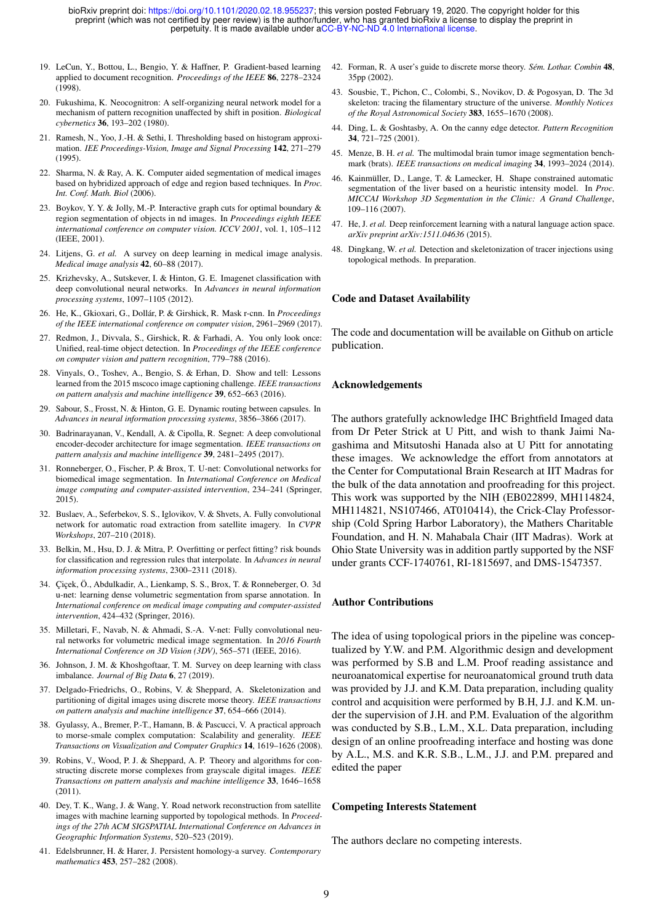- 19. LeCun, Y., Bottou, L., Bengio, Y. & Haffner, P. Gradient-based learning applied to document recognition. *Proceedings of the IEEE* 86, 2278–2324 (1998).
- 20. Fukushima, K. Neocognitron: A self-organizing neural network model for a mechanism of pattern recognition unaffected by shift in position. *Biological cybernetics* 36, 193–202 (1980).
- 21. Ramesh, N., Yoo, J.-H. & Sethi, I. Thresholding based on histogram approximation. *IEE Proceedings-Vision, Image and Signal Processing* 142, 271–279 (1995).
- 22. Sharma, N. & Ray, A. K. Computer aided segmentation of medical images based on hybridized approach of edge and region based techniques. In *Proc. Int. Conf. Math. Biol* (2006).
- 23. Boykov, Y. Y. & Jolly, M.-P. Interactive graph cuts for optimal boundary & region segmentation of objects in nd images. In *Proceedings eighth IEEE international conference on computer vision. ICCV 2001*, vol. 1, 105–112 (IEEE, 2001).
- 24. Litjens, G. *et al.* A survey on deep learning in medical image analysis. *Medical image analysis* 42, 60–88 (2017).
- 25. Krizhevsky, A., Sutskever, I. & Hinton, G. E. Imagenet classification with deep convolutional neural networks. In *Advances in neural information processing systems*, 1097–1105 (2012).
- 26. He, K., Gkioxari, G., Dollár, P. & Girshick, R. Mask r-cnn. In *Proceedings of the IEEE international conference on computer vision*, 2961–2969 (2017).
- 27. Redmon, J., Divvala, S., Girshick, R. & Farhadi, A. You only look once: Unified, real-time object detection. In *Proceedings of the IEEE conference on computer vision and pattern recognition*, 779–788 (2016).
- 28. Vinyals, O., Toshev, A., Bengio, S. & Erhan, D. Show and tell: Lessons learned from the 2015 mscoco image captioning challenge. *IEEE transactions on pattern analysis and machine intelligence* 39, 652–663 (2016).
- 29. Sabour, S., Frosst, N. & Hinton, G. E. Dynamic routing between capsules. In *Advances in neural information processing systems*, 3856–3866 (2017).
- 30. Badrinarayanan, V., Kendall, A. & Cipolla, R. Segnet: A deep convolutional encoder-decoder architecture for image segmentation. *IEEE transactions on pattern analysis and machine intelligence* 39, 2481–2495 (2017).
- 31. Ronneberger, O., Fischer, P. & Brox, T. U-net: Convolutional networks for biomedical image segmentation. In *International Conference on Medical image computing and computer-assisted intervention*, 234–241 (Springer, 2015).
- 32. Buslaev, A., Seferbekov, S. S., Iglovikov, V. & Shvets, A. Fully convolutional network for automatic road extraction from satellite imagery. In *CVPR Workshops*, 207–210 (2018).
- 33. Belkin, M., Hsu, D. J. & Mitra, P. Overfitting or perfect fitting? risk bounds for classification and regression rules that interpolate. In *Advances in neural information processing systems*, 2300–2311 (2018).
- 34. Çiçek, Ö., Abdulkadir, A., Lienkamp, S. S., Brox, T. & Ronneberger, O. 3d u-net: learning dense volumetric segmentation from sparse annotation. In *International conference on medical image computing and computer-assisted intervention*, 424–432 (Springer, 2016).
- 35. Milletari, F., Navab, N. & Ahmadi, S.-A. V-net: Fully convolutional neural networks for volumetric medical image segmentation. In *2016 Fourth International Conference on 3D Vision (3DV)*, 565–571 (IEEE, 2016).
- 36. Johnson, J. M. & Khoshgoftaar, T. M. Survey on deep learning with class imbalance. *Journal of Big Data* 6, 27 (2019).
- 37. Delgado-Friedrichs, O., Robins, V. & Sheppard, A. Skeletonization and partitioning of digital images using discrete morse theory. *IEEE transactions on pattern analysis and machine intelligence* 37, 654–666 (2014).
- 38. Gyulassy, A., Bremer, P.-T., Hamann, B. & Pascucci, V. A practical approach to morse-smale complex computation: Scalability and generality. *IEEE Transactions on Visualization and Computer Graphics* 14, 1619–1626 (2008).
- 39. Robins, V., Wood, P. J. & Sheppard, A. P. Theory and algorithms for constructing discrete morse complexes from grayscale digital images. *IEEE Transactions on pattern analysis and machine intelligence* 33, 1646–1658 (2011).
- 40. Dey, T. K., Wang, J. & Wang, Y. Road network reconstruction from satellite images with machine learning supported by topological methods. In *Proceedings of the 27th ACM SIGSPATIAL International Conference on Advances in Geographic Information Systems*, 520–523 (2019).
- 41. Edelsbrunner, H. & Harer, J. Persistent homology-a survey. *Contemporary mathematics* 453, 257–282 (2008).
- 42. Forman, R. A user's guide to discrete morse theory. *Sém. Lothar. Combin* 48, 35pp (2002).
- 43. Sousbie, T., Pichon, C., Colombi, S., Novikov, D. & Pogosyan, D. The 3d skeleton: tracing the filamentary structure of the universe. *Monthly Notices of the Royal Astronomical Society* 383, 1655–1670 (2008).
- 44. Ding, L. & Goshtasby, A. On the canny edge detector. *Pattern Recognition* 34, 721–725 (2001).
- 45. Menze, B. H. *et al.* The multimodal brain tumor image segmentation benchmark (brats). *IEEE transactions on medical imaging* 34, 1993–2024 (2014).
- 46. Kainmüller, D., Lange, T. & Lamecker, H. Shape constrained automatic segmentation of the liver based on a heuristic intensity model. In *Proc. MICCAI Workshop 3D Segmentation in the Clinic: A Grand Challenge*, 109–116 (2007).
- 47. He, J. *et al.* Deep reinforcement learning with a natural language action space. *arXiv preprint arXiv:1511.04636* (2015).
- 48. Dingkang, W. *et al.* Detection and skeletonization of tracer injections using topological methods. In preparation.

#### Code and Dataset Availability

The code and documentation will be available on Github on article publication.

#### Acknowledgements

The authors gratefully acknowledge IHC Brightfield Imaged data from Dr Peter Strick at U Pitt, and wish to thank Jaimi Nagashima and Mitsutoshi Hanada also at U Pitt for annotating these images. We acknowledge the effort from annotators at the Center for Computational Brain Research at IIT Madras for the bulk of the data annotation and proofreading for this project. This work was supported by the NIH (EB022899, MH114824, MH114821, NS107466, AT010414), the Crick-Clay Professorship (Cold Spring Harbor Laboratory), the Mathers Charitable Foundation, and H. N. Mahabala Chair (IIT Madras). Work at Ohio State University was in addition partly supported by the NSF under grants CCF-1740761, RI-1815697, and DMS-1547357.

#### Author Contributions

The idea of using topological priors in the pipeline was conceptualized by Y.W. and P.M. Algorithmic design and development was performed by S.B and L.M. Proof reading assistance and neuroanatomical expertise for neuroanatomical ground truth data was provided by J.J. and K.M. Data preparation, including quality control and acquisition were performed by B.H, J.J. and K.M. under the supervision of J.H. and P.M. Evaluation of the algorithm was conducted by S.B., L.M., X.L. Data preparation, including design of an online proofreading interface and hosting was done by A.L., M.S. and K.R. S.B., L.M., J.J. and P.M. prepared and edited the paper

#### Competing Interests Statement

The authors declare no competing interests.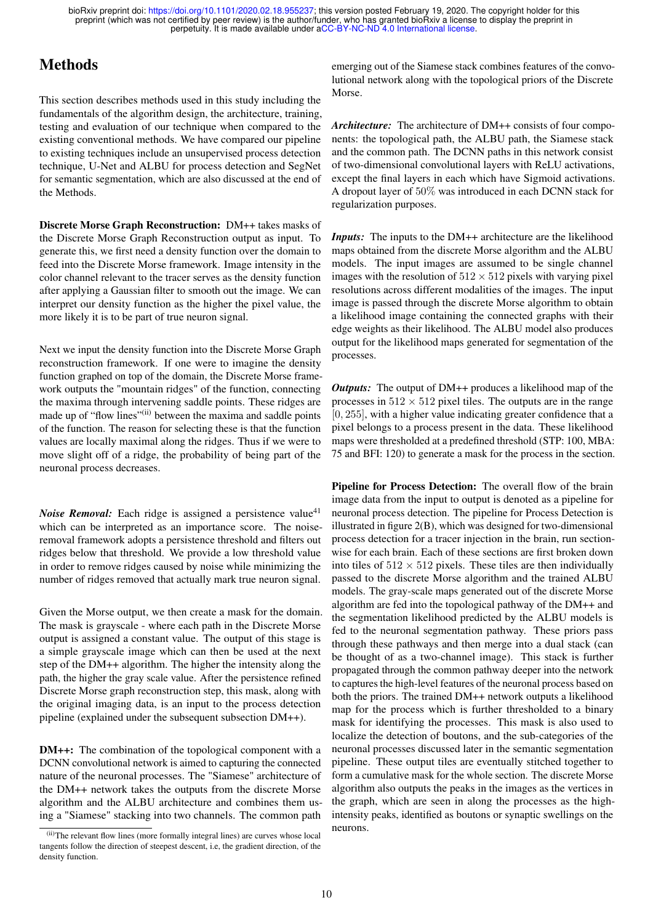# **Methods**

This section describes methods used in this study including the fundamentals of the algorithm design, the architecture, training, testing and evaluation of our technique when compared to the existing conventional methods. We have compared our pipeline to existing techniques include an unsupervised process detection technique, U-Net and ALBU for process detection and SegNet for semantic segmentation, which are also discussed at the end of the Methods.

Discrete Morse Graph Reconstruction: DM++ takes masks of the Discrete Morse Graph Reconstruction output as input. To generate this, we first need a density function over the domain to feed into the Discrete Morse framework. Image intensity in the color channel relevant to the tracer serves as the density function after applying a Gaussian filter to smooth out the image. We can interpret our density function as the higher the pixel value, the more likely it is to be part of true neuron signal.

Next we input the density function into the Discrete Morse Graph reconstruction framework. If one were to imagine the density function graphed on top of the domain, the Discrete Morse framework outputs the "mountain ridges" of the function, connecting the maxima through intervening saddle points. These ridges are made up of "flow lines"<sup>(ii)</sup> between the maxima and saddle points of the function. The reason for selecting these is that the function values are locally maximal along the ridges. Thus if we were to move slight off of a ridge, the probability of being part of the neuronal process decreases.

*Noise Removal:* Each ridge is assigned a persistence value<sup>41</sup> which can be interpreted as an importance score. The noiseremoval framework adopts a persistence threshold and filters out ridges below that threshold. We provide a low threshold value in order to remove ridges caused by noise while minimizing the number of ridges removed that actually mark true neuron signal.

Given the Morse output, we then create a mask for the domain. The mask is grayscale - where each path in the Discrete Morse output is assigned a constant value. The output of this stage is a simple grayscale image which can then be used at the next step of the DM++ algorithm. The higher the intensity along the path, the higher the gray scale value. After the persistence refined Discrete Morse graph reconstruction step, this mask, along with the original imaging data, is an input to the process detection pipeline (explained under the subsequent subsection DM++).

DM++: The combination of the topological component with a DCNN convolutional network is aimed to capturing the connected nature of the neuronal processes. The "Siamese" architecture of the DM++ network takes the outputs from the discrete Morse algorithm and the ALBU architecture and combines them using a "Siamese" stacking into two channels. The common path

emerging out of the Siamese stack combines features of the convolutional network along with the topological priors of the Discrete Morse.

*Architecture:* The architecture of DM++ consists of four components: the topological path, the ALBU path, the Siamese stack and the common path. The DCNN paths in this network consist of two-dimensional convolutional layers with ReLU activations, except the final layers in each which have Sigmoid activations. A dropout layer of 50% was introduced in each DCNN stack for regularization purposes.

*Inputs:* The inputs to the DM++ architecture are the likelihood maps obtained from the discrete Morse algorithm and the ALBU models. The input images are assumed to be single channel images with the resolution of  $512 \times 512$  pixels with varying pixel resolutions across different modalities of the images. The input image is passed through the discrete Morse algorithm to obtain a likelihood image containing the connected graphs with their edge weights as their likelihood. The ALBU model also produces output for the likelihood maps generated for segmentation of the processes.

*Outputs:* The output of DM++ produces a likelihood map of the processes in  $512 \times 512$  pixel tiles. The outputs are in the range [0, 255], with a higher value indicating greater confidence that a pixel belongs to a process present in the data. These likelihood maps were thresholded at a predefined threshold (STP: 100, MBA: 75 and BFI: 120) to generate a mask for the process in the section.

Pipeline for Process Detection: The overall flow of the brain image data from the input to output is denoted as a pipeline for neuronal process detection. The pipeline for Process Detection is illustrated in figure 2(B), which was designed for two-dimensional process detection for a tracer injection in the brain, run sectionwise for each brain. Each of these sections are first broken down into tiles of  $512 \times 512$  pixels. These tiles are then individually passed to the discrete Morse algorithm and the trained ALBU models. The gray-scale maps generated out of the discrete Morse algorithm are fed into the topological pathway of the DM++ and the segmentation likelihood predicted by the ALBU models is fed to the neuronal segmentation pathway. These priors pass through these pathways and then merge into a dual stack (can be thought of as a two-channel image). This stack is further propagated through the common pathway deeper into the network to captures the high-level features of the neuronal process based on both the priors. The trained DM++ network outputs a likelihood map for the process which is further thresholded to a binary mask for identifying the processes. This mask is also used to localize the detection of boutons, and the sub-categories of the neuronal processes discussed later in the semantic segmentation pipeline. These output tiles are eventually stitched together to form a cumulative mask for the whole section. The discrete Morse algorithm also outputs the peaks in the images as the vertices in the graph, which are seen in along the processes as the highintensity peaks, identified as boutons or synaptic swellings on the neurons.

<sup>(</sup>ii)The relevant flow lines (more formally integral lines) are curves whose local tangents follow the direction of steepest descent, i.e, the gradient direction, of the density function.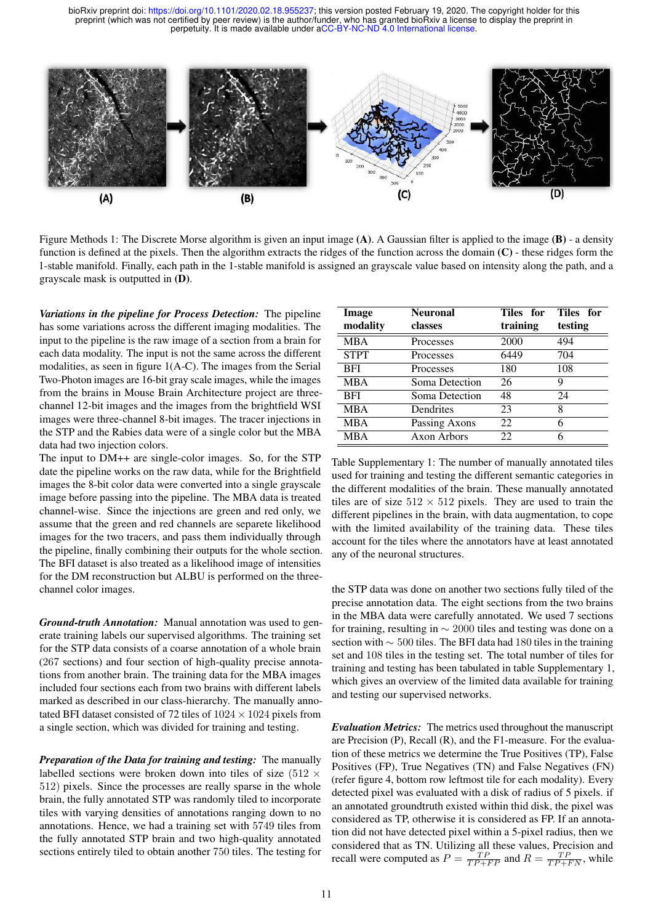

Figure Methods 1: The Discrete Morse algorithm is given an input image (A). A Gaussian filter is applied to the image (B) - a density function is defined at the pixels. Then the algorithm extracts the ridges of the function across the domain (C) - these ridges form the 1-stable manifold. Finally, each path in the 1-stable manifold is assigned an grayscale value based on intensity along the path, and a grayscale mask is outputted in (D).

*Variations in the pipeline for Process Detection:* The pipeline has some variations across the different imaging modalities. The input to the pipeline is the raw image of a section from a brain for each data modality. The input is not the same across the different modalities, as seen in figure 1(A-C). The images from the Serial Two-Photon images are 16-bit gray scale images, while the images from the brains in Mouse Brain Architecture project are threechannel 12-bit images and the images from the brightfield WSI images were three-channel 8-bit images. The tracer injections in the STP and the Rabies data were of a single color but the MBA data had two injection colors.

The input to DM++ are single-color images. So, for the STP date the pipeline works on the raw data, while for the Brightfield images the 8-bit color data were converted into a single grayscale image before passing into the pipeline. The MBA data is treated channel-wise. Since the injections are green and red only, we assume that the green and red channels are separete likelihood images for the two tracers, and pass them individually through the pipeline, finally combining their outputs for the whole section. The BFI dataset is also treated as a likelihood image of intensities for the DM reconstruction but ALBU is performed on the threechannel color images.

*Ground-truth Annotation:* Manual annotation was used to generate training labels our supervised algorithms. The training set for the STP data consists of a coarse annotation of a whole brain (267 sections) and four section of high-quality precise annotations from another brain. The training data for the MBA images included four sections each from two brains with different labels marked as described in our class-hierarchy. The manually annotated BFI dataset consisted of 72 tiles of  $1024 \times 1024$  pixels from a single section, which was divided for training and testing.

*Preparation of the Data for training and testing:* The manually labelled sections were broken down into tiles of size (512  $\times$ 512) pixels. Since the processes are really sparse in the whole brain, the fully annotated STP was randomly tiled to incorporate tiles with varying densities of annotations ranging down to no annotations. Hence, we had a training set with 5749 tiles from the fully annotated STP brain and two high-quality annotated sections entirely tiled to obtain another 750 tiles. The testing for

| Image       | <b>Neuronal</b> | Tiles for | Tiles for |
|-------------|-----------------|-----------|-----------|
| modality    | classes         | training  | testing   |
| <b>MBA</b>  | Processes       | 2000      | 494       |
| <b>STPT</b> | Processes       | 6449      | 704       |
| BFI         | Processes       | 180       | 108       |
| <b>MBA</b>  | Soma Detection  | 26        | 9         |
| <b>BFI</b>  | Soma Detection  | 48        | 24        |
| <b>MBA</b>  | Dendrites       | 23        | 8         |
| <b>MBA</b>  | Passing Axons   | 22        | 6         |
| <b>MBA</b>  | Axon Arbors     | 22        | 6         |

Table Supplementary 1: The number of manually annotated tiles used for training and testing the different semantic categories in the different modalities of the brain. These manually annotated tiles are of size  $512 \times 512$  pixels. They are used to train the different pipelines in the brain, with data augmentation, to cope with the limited availability of the training data. These tiles account for the tiles where the annotators have at least annotated any of the neuronal structures.

the STP data was done on another two sections fully tiled of the precise annotation data. The eight sections from the two brains in the MBA data were carefully annotated. We used 7 sections for training, resulting in ∼ 2000 tiles and testing was done on a section with ∼ 500 tiles. The BFI data had 180 tiles in the training set and 108 tiles in the testing set. The total number of tiles for training and testing has been tabulated in table Supplementary 1, which gives an overview of the limited data available for training and testing our supervised networks.

*Evaluation Metrics:* The metrics used throughout the manuscript are Precision (P), Recall (R), and the F1-measure. For the evaluation of these metrics we determine the True Positives (TP), False Positives (FP), True Negatives (TN) and False Negatives (FN) (refer figure 4, bottom row leftmost tile for each modality). Every detected pixel was evaluated with a disk of radius of 5 pixels. if an annotated groundtruth existed within thid disk, the pixel was considered as TP, otherwise it is considered as FP. If an annotation did not have detected pixel within a 5-pixel radius, then we considered that as TN. Utilizing all these values, Precision and recall were computed as  $P = \frac{TP}{TP + FP}$  and  $R = \frac{TP}{TP + FN}$ , while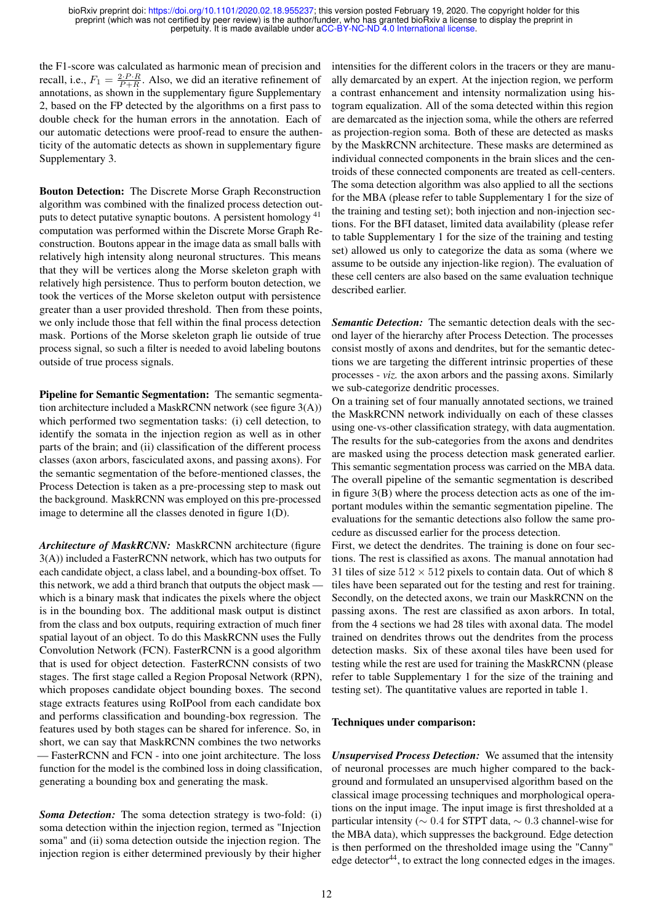the F1-score was calculated as harmonic mean of precision and recall, i.e.,  $F_1 = \frac{2 \cdot P \cdot R}{P + R}$ . Also, we did an iterative refinement of annotations, as shown in the supplementary figure Supplementary 2, based on the FP detected by the algorithms on a first pass to double check for the human errors in the annotation. Each of our automatic detections were proof-read to ensure the authenticity of the automatic detects as shown in supplementary figure Supplementary 3.

Bouton Detection: The Discrete Morse Graph Reconstruction algorithm was combined with the finalized process detection outputs to detect putative synaptic boutons. A persistent homology <sup>41</sup> computation was performed within the Discrete Morse Graph Reconstruction. Boutons appear in the image data as small balls with relatively high intensity along neuronal structures. This means that they will be vertices along the Morse skeleton graph with relatively high persistence. Thus to perform bouton detection, we took the vertices of the Morse skeleton output with persistence greater than a user provided threshold. Then from these points, we only include those that fell within the final process detection mask. Portions of the Morse skeleton graph lie outside of true process signal, so such a filter is needed to avoid labeling boutons outside of true process signals.

Pipeline for Semantic Segmentation: The semantic segmentation architecture included a MaskRCNN network (see figure 3(A)) which performed two segmentation tasks: (i) cell detection, to identify the somata in the injection region as well as in other parts of the brain; and (ii) classification of the different process classes (axon arbors, fasciculated axons, and passing axons). For the semantic segmentation of the before-mentioned classes, the Process Detection is taken as a pre-processing step to mask out the background. MaskRCNN was employed on this pre-processed image to determine all the classes denoted in figure 1(D).

*Architecture of MaskRCNN:* MaskRCNN architecture (figure 3(A)) included a FasterRCNN network, which has two outputs for each candidate object, a class label, and a bounding-box offset. To this network, we add a third branch that outputs the object mask which is a binary mask that indicates the pixels where the object is in the bounding box. The additional mask output is distinct from the class and box outputs, requiring extraction of much finer spatial layout of an object. To do this MaskRCNN uses the Fully Convolution Network (FCN). FasterRCNN is a good algorithm that is used for object detection. FasterRCNN consists of two stages. The first stage called a Region Proposal Network (RPN), which proposes candidate object bounding boxes. The second stage extracts features using RoIPool from each candidate box and performs classification and bounding-box regression. The features used by both stages can be shared for inference. So, in short, we can say that MaskRCNN combines the two networks — FasterRCNN and FCN - into one joint architecture. The loss function for the model is the combined loss in doing classification, generating a bounding box and generating the mask.

*Soma Detection:* The soma detection strategy is two-fold: (i) soma detection within the injection region, termed as "Injection soma" and (ii) soma detection outside the injection region. The injection region is either determined previously by their higher intensities for the different colors in the tracers or they are manually demarcated by an expert. At the injection region, we perform a contrast enhancement and intensity normalization using histogram equalization. All of the soma detected within this region are demarcated as the injection soma, while the others are referred as projection-region soma. Both of these are detected as masks by the MaskRCNN architecture. These masks are determined as individual connected components in the brain slices and the centroids of these connected components are treated as cell-centers. The soma detection algorithm was also applied to all the sections for the MBA (please refer to table Supplementary 1 for the size of the training and testing set); both injection and non-injection sections. For the BFI dataset, limited data availability (please refer to table Supplementary 1 for the size of the training and testing set) allowed us only to categorize the data as soma (where we assume to be outside any injection-like region). The evaluation of these cell centers are also based on the same evaluation technique described earlier.

*Semantic Detection:* The semantic detection deals with the second layer of the hierarchy after Process Detection. The processes consist mostly of axons and dendrites, but for the semantic detections we are targeting the different intrinsic properties of these processes - *viz.* the axon arbors and the passing axons. Similarly we sub-categorize dendritic processes.

On a training set of four manually annotated sections, we trained the MaskRCNN network individually on each of these classes using one-vs-other classification strategy, with data augmentation. The results for the sub-categories from the axons and dendrites are masked using the process detection mask generated earlier. This semantic segmentation process was carried on the MBA data. The overall pipeline of the semantic segmentation is described in figure 3(B) where the process detection acts as one of the important modules within the semantic segmentation pipeline. The evaluations for the semantic detections also follow the same procedure as discussed earlier for the process detection.

First, we detect the dendrites. The training is done on four sections. The rest is classified as axons. The manual annotation had 31 tiles of size  $512 \times 512$  pixels to contain data. Out of which 8 tiles have been separated out for the testing and rest for training. Secondly, on the detected axons, we train our MaskRCNN on the passing axons. The rest are classified as axon arbors. In total, from the 4 sections we had 28 tiles with axonal data. The model trained on dendrites throws out the dendrites from the process detection masks. Six of these axonal tiles have been used for testing while the rest are used for training the MaskRCNN (please refer to table Supplementary 1 for the size of the training and testing set). The quantitative values are reported in table 1.

#### Techniques under comparison:

*Unsupervised Process Detection:* We assumed that the intensity of neuronal processes are much higher compared to the background and formulated an unsupervised algorithm based on the classical image processing techniques and morphological operations on the input image. The input image is first thresholded at a particular intensity ( $\sim 0.4$  for STPT data,  $\sim 0.3$  channel-wise for the MBA data), which suppresses the background. Edge detection is then performed on the thresholded image using the "Canny" edge detector<sup>44</sup>, to extract the long connected edges in the images.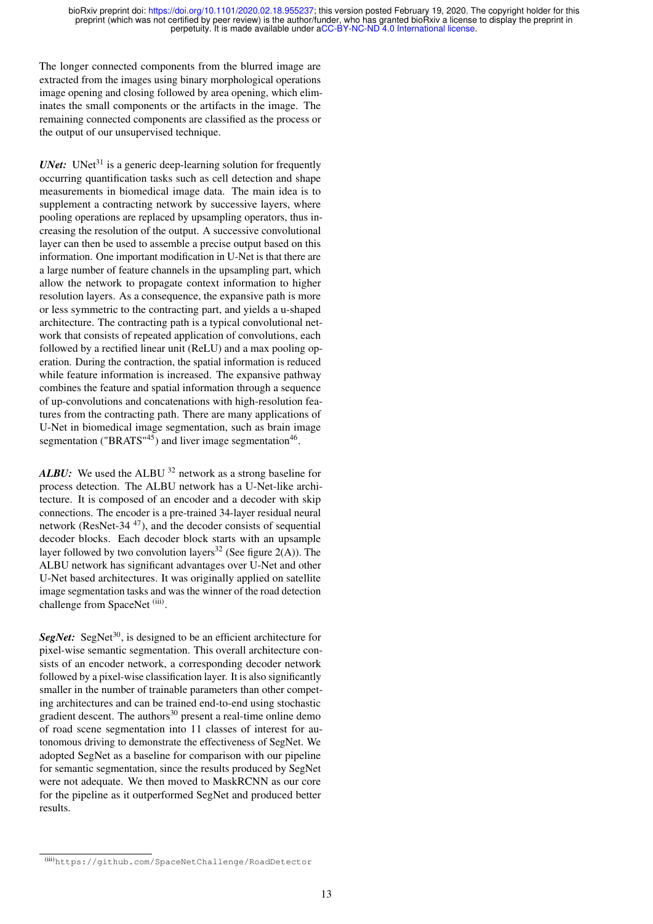The longer connected components from the blurred image are extracted from the images using binary morphological operations image opening and closing followed by area opening, which eliminates the small components or the artifacts in the image. The remaining connected components are classified as the process or the output of our unsupervised technique.

*UNet:* UNet<sup>31</sup> is a generic deep-learning solution for frequently occurring quantification tasks such as cell detection and shape measurements in biomedical image data. The main idea is to supplement a contracting network by successive layers, where pooling operations are replaced by upsampling operators, thus increasing the resolution of the output. A successive convolutional layer can then be used to assemble a precise output based on this information. One important modification in U-Net is that there are a large number of feature channels in the upsampling part, which allow the network to propagate context information to higher resolution layers. As a consequence, the expansive path is more or less symmetric to the contracting part, and yields a u-shaped architecture. The contracting path is a typical convolutional network that consists of repeated application of convolutions, each followed by a rectified linear unit (ReLU) and a max pooling operation. During the contraction, the spatial information is reduced while feature information is increased. The expansive pathway combines the feature and spatial information through a sequence of up-convolutions and concatenations with high-resolution features from the contracting path. There are many applications of U-Net in biomedical image segmentation, such as brain image segmentation ("BRATS"<sup>45</sup>) and liver image segmentation<sup>46</sup>.

ALBU: We used the ALBU <sup>32</sup> network as a strong baseline for process detection. The ALBU network has a U-Net-like architecture. It is composed of an encoder and a decoder with skip connections. The encoder is a pre-trained 34-layer residual neural network (ResNet-34 <sup>47</sup>), and the decoder consists of sequential decoder blocks. Each decoder block starts with an upsample layer followed by two convolution layers<sup>32</sup> (See figure 2(A)). The ALBU network has significant advantages over U-Net and other U-Net based architectures. It was originally applied on satellite image segmentation tasks and was the winner of the road detection challenge from SpaceNet<sup>(iii)</sup>.

**SegNet:** SegNet<sup>30</sup>, is designed to be an efficient architecture for pixel-wise semantic segmentation. This overall architecture consists of an encoder network, a corresponding decoder network followed by a pixel-wise classification layer. It is also significantly smaller in the number of trainable parameters than other competing architectures and can be trained end-to-end using stochastic gradient descent. The authors<sup>30</sup> present a real-time online demo of road scene segmentation into 11 classes of interest for autonomous driving to demonstrate the effectiveness of SegNet. We adopted SegNet as a baseline for comparison with our pipeline for semantic segmentation, since the results produced by SegNet were not adequate. We then moved to MaskRCNN as our core for the pipeline as it outperformed SegNet and produced better results.

<sup>(</sup>iii)https://github.com/SpaceNetChallenge/RoadDetector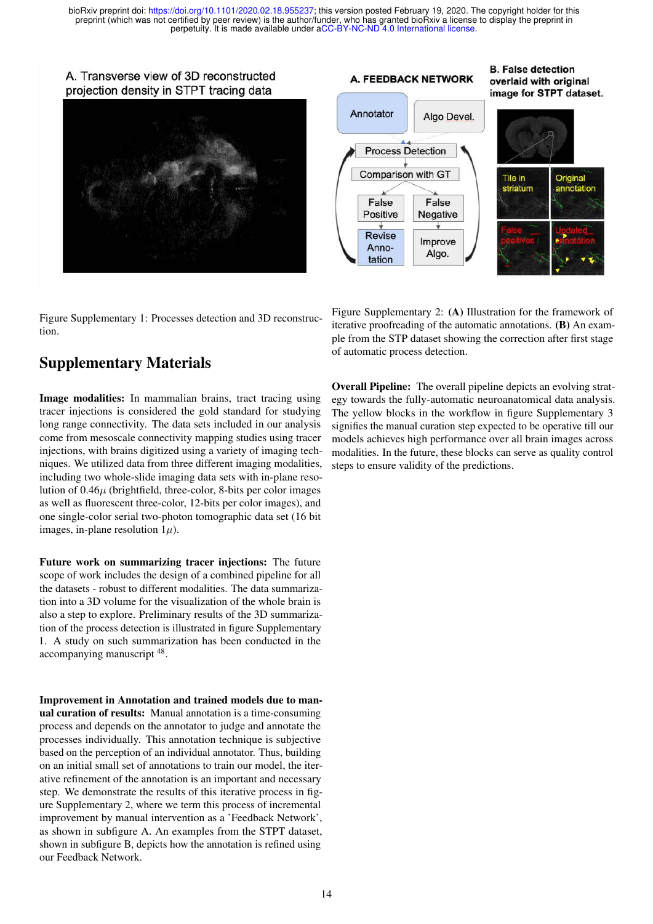A. Transverse view of 3D reconstructed projection density in STPT tracing data



Figure Supplementary 1: Processes detection and 3D reconstruction.

# Supplementary Materials

Image modalities: In mammalian brains, tract tracing using tracer injections is considered the gold standard for studying long range connectivity. The data sets included in our analysis come from mesoscale connectivity mapping studies using tracer injections, with brains digitized using a variety of imaging techniques. We utilized data from three different imaging modalities, including two whole-slide imaging data sets with in-plane resolution of  $0.46\mu$  (brightfield, three-color, 8-bits per color images as well as fluorescent three-color, 12-bits per color images), and one single-color serial two-photon tomographic data set (16 bit images, in-plane resolution  $1\mu$ ).

Future work on summarizing tracer injections: The future scope of work includes the design of a combined pipeline for all the datasets - robust to different modalities. The data summarization into a 3D volume for the visualization of the whole brain is also a step to explore. Preliminary results of the 3D summarization of the process detection is illustrated in figure Supplementary 1. A study on such summarization has been conducted in the accompanying manuscript <sup>48</sup>.

Improvement in Annotation and trained models due to manual curation of results: Manual annotation is a time-consuming process and depends on the annotator to judge and annotate the processes individually. This annotation technique is subjective based on the perception of an individual annotator. Thus, building on an initial small set of annotations to train our model, the iterative refinement of the annotation is an important and necessary step. We demonstrate the results of this iterative process in figure Supplementary 2, where we term this process of incremental improvement by manual intervention as a 'Feedback Network', as shown in subfigure A. An examples from the STPT dataset, shown in subfigure B, depicts how the annotation is refined using our Feedback Network.

# A. FEEDBACK NETWORK

**B. False detection** overlaid with original image for STPT dataset.



Figure Supplementary 2: (A) Illustration for the framework of iterative proofreading of the automatic annotations. (B) An example from the STP dataset showing the correction after first stage of automatic process detection.

Overall Pipeline: The overall pipeline depicts an evolving strategy towards the fully-automatic neuroanatomical data analysis. The yellow blocks in the workflow in figure Supplementary 3 signifies the manual curation step expected to be operative till our models achieves high performance over all brain images across modalities. In the future, these blocks can serve as quality control steps to ensure validity of the predictions.